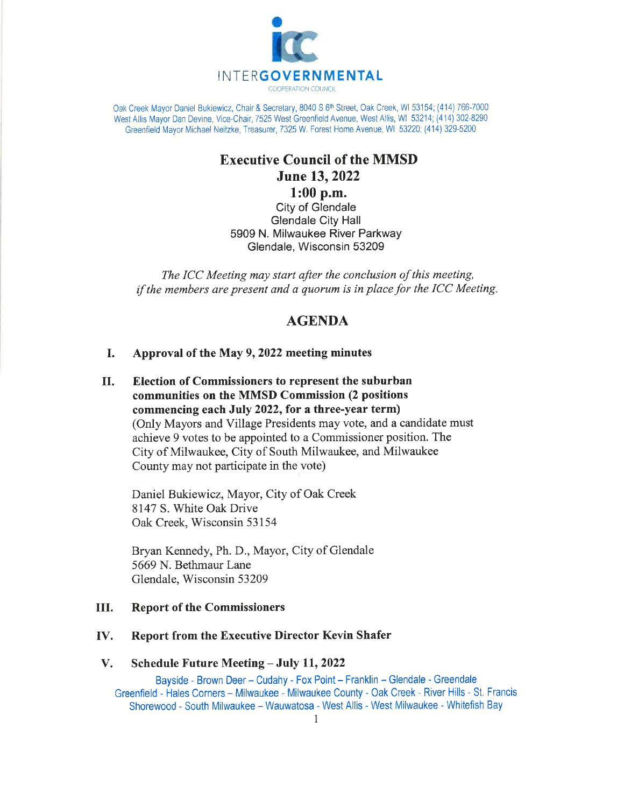

Oak Creek Mayor Daniel Bukiewicz, Chair & Secretary, 8040 S 6<sup>th</sup> Street, Oak Creek, WI 53154; (414) 766-7000 West Allis Mayor Dan Devine, Vice-Chair, 7525 West Greenfield Avenue, West Allis, WI 53214; (414) 302-8290 Greenfield Mayor Michael Neitzke, Treasurer, 7325 W. Forest Home Avenue, WI 53220; (414) 329-5200

# Executive Council of the MMSD June 13,2022 1:00 p.m.

City of Glendale Glendale City Hall 5909 N. Milwaukee River Parkway Glendale, Wisconsin 53209

The ICC Meeting may start after the conclusion of this meeting, if the members are present and a quorum is in place for the ICC Meeting,

# AGENDA

# I. Approval of the May 9, 2022 meeting minutes

II. Election of Commissioners to represent the suburban communities on the MMSD Commission (2 positions commencing each July 2022, for a three-year term) (Only Mayors and Village Presidents may vote, and a candidate must achieve 9 votes to be appointed to a Commissioner position. The City of Milwaukee, City of South Milwaukee, and Milwaukee County may not participate in the vote)

Daniel Bukiewicz, Mayor, City of Oak Creek 8147 S. White Oak Drive Oak Creek, Wisconsin 53154

Bryan Kennedy, Ph. D., Mayor, City of Glendale 5669 N. Bethmaur Lane Glendale, Wisconsin 53209

# III. Report of the Commissioners

# IV. Report from the Executive Director Kevin Shafer

## V. Schedule Future Meeting - July 11, 2022

Bayside - Brown Deer - Cudahy - Fox Point - Franklin - Glendale - Greendale Greenfield - Hales Corners - Milwaukee - Milwaukee County - Oak Creek - River Hills - St, Francis Shorewood - South Milwaukee - Wauwatosa - West Allis - West Milwaukee - Whitefish Bay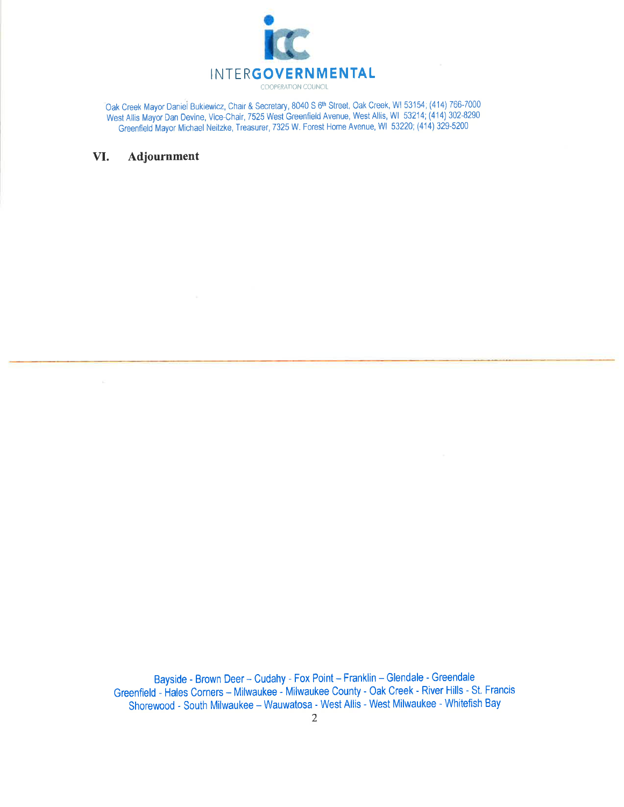

Oak Creek Mayor Daniel Bukiewicz, Chair & Secretary, 8040 S 6<sup>th</sup> Street, Oak Creek, WI 53154; (414) 766-7000 West Allis Mayor Dan Devine, Vice-Chair, 7525 West Greenfield Avenue, West Allis, WI 53214; (414) 302-8290 Greenfield Mayor Michael Neitzke, Treasurer, 7325 W. Forest Home Avenue, Wl 53220; (414) 329-5200

## VI. Adjournment

Bayside - Brown Deer - Cudahy - Fox Point - Franklin - Glendale - Greendale Greenfield - Hales Corners - Milwaukee - Milwaukee County - Oak Creek - River Hills - St. Francis Shorewood - South Milwaukee - Wauwatosa - West Allis - West Milwaukee - Whitefish Bay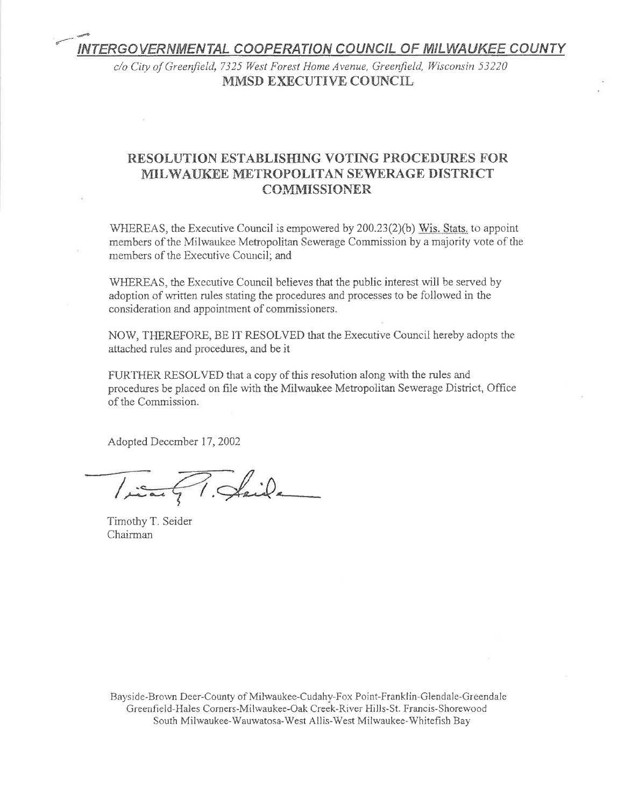# INTERGOVERNMENTAL COOPERATION COUNCIL OF MILWAUKEE COUNTY

c/o City of Greenfield, 7325 West Forest Home Avenue, Greenfield, Wisconsin 53220 MMSD EXECUTIVE COUNCIL

# RESOLUTION ESTABLISHING VOTING PROCEDURES FOR MILWAUKEE METROPOLITAN SEWERAGE DISTRICT COMMISSIONER

WHEREAS, the Executive Council is empowered by 200.23(2)(b) Wis. Stats. to appoint members of the Milwaukee Metropolitan Sewerage Commission by a majority vote of the members of the Executive Council: and

WHEREAS, the Executive Council believes that the public interest will be served by adoption of written rules stating the procedures and processes to be followed in the consideration and appointment of commissioners.

NOW, THEREFORE, BE IT RESOLVED that the Executive Council hereby adopts the attached rules and procedures, and be it

FURTHER RESOLVED that a copy of this resolution along with the rules and procedures be placed on file with the Milwaukee Metropolitan Sewerage District, Office of the Cornmission.

Adopted December 17, 2002

Tient T. Skeide

Timothy T. Seider Chairman

Bayside-Brown Deer-County of Milwaukee-Cudahy-Fox Point-Franklin-Glendale-Greendale Greenfield-Hales Corners-Milwaukee-Oak Creek-River Hills-St. Francis-Shorewood South Milwaukee-Wauwatosa-West Allis-West Milwaukee-Whitefish Bay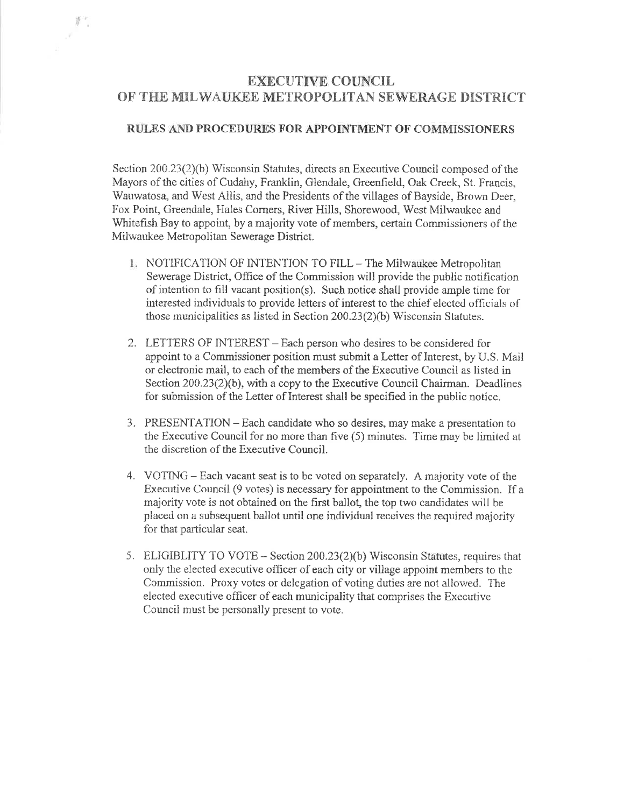# EXECUTIVE COUNCIL OF THE MILWAUKEE METROPOLITAN SEWERAGE DISTRICT

 $\mathbb{F}$ .

## RULES AND PROCEDURES FOR APPOINTMENT OF COMMISSIONERS

Section  $200.23(2)(b)$  Wisconsin Statutes, directs an Executive Council composed of the Mayors of the cities of Cudahy, Franklin, Glendale, Greenfield, Oak Creek, St. Francis, Wauwatosa, and West Allis, and the Presidents of the villages of Bayside, Brown Deer. Fox Point, Greendale, Hales Corners, River Hills, Shorewood, West Milwaukee and Whitefish Bay to appoint, by a majority vote of members, certain Commissioners of the Miiwaukee Mekopolitan Sewerage District.

- 1. NOTIFICATION OF INTENTION TO FILL The Milwaukee Metropolitan Sewerage District, Office of the Commission will provide the public notification of intention to fill vacant position(s). Such notice shall provide ample time for interested individuals to provide letters of interest to the chief elected officials of those municipalities as listed in Section  $200.23(2)(b)$  Wisconsin Statutes.
- 2. LETTERS OF INTEREST Each person who desires to be considered for appoint to a Commissioner position must submit a Letter of Interest, by U.S. Mail or electronic mail, to each of the mernbers of the Ðxecutive Council as listed in Section  $200.23(2)(b)$ , with a copy to the Executive Council Chairman. Deadlines for submission of the Letter of Interest shall be specified in the public notiee.
- 3. PRESENTATION Each candidate who so desires, may make a presentation to the Executive Council for no more than five (5) minutes. Time may be limited at the discretion of the Executive Council.
- 4. VOTING Each vacant seat is to be voted on separately. A majority vote of the Executive Council  $(9 \text{ votes})$  is necessary for appointment to the Commission. If a majority vote is not obtained on the first ballot, the top two cærdidates wili be placed on a subsequent ballot until one individual receives the required majority for that particular seat.
- 5. ELIGIBLITY TO VOTE Section  $200.23(2)(b)$  Wisconsin Statutes, requires that oniy the elected executive officer of each city or viliage appoint members to the Commission. Proxy votes or delegation of voting duties are not allowed. The elected executive officer of each municipality that comprises the Executive Councii must be personally present to vore.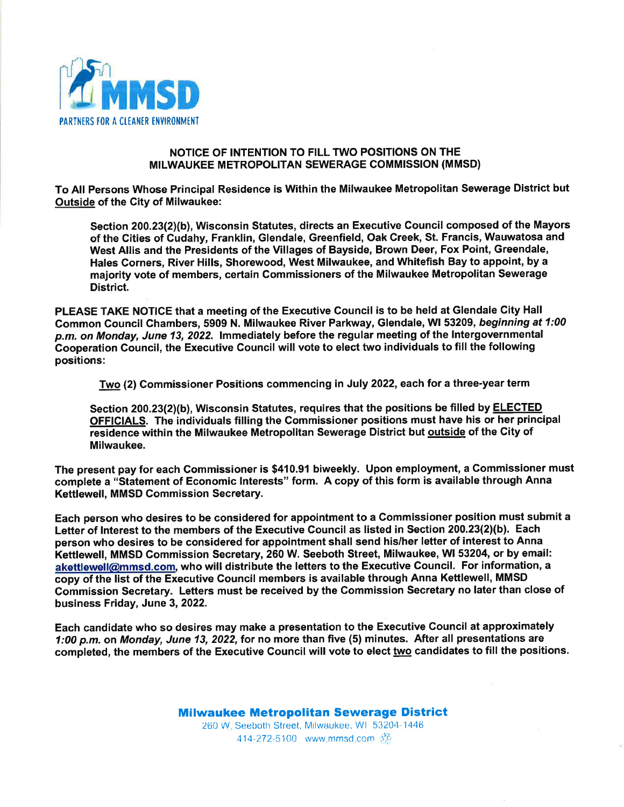

# NOTICE OF INTENTION TO FILL TWO POSITIONS ON THE MILWAUKEE METROPOLTTAN SEWERAGE COMMISSION (MMSD)

To All Persons Whose Principal Residence is Within the Milwaukee Metropolitan Sewerage District but Outside of the City of Milwaukee:

Section 200.23(21(b), Wisconsin Statutes, directs an Executive Council composed of the Mayors of the Cities of Gudahy, Franklin, Glendale, Greenfield, Oak Creek, St. Francis, Wauwatosa and West Allis and the Presidents of the Villages of Bayside, Brown Deer, Fox Point, Greendale, Hales Corners, River Hills, Shorewood, West Milwaukee, and Whitefish Bay to appoint, by a majority vote of members, certain Gommissioners of the Milwaukee Metropolitan Sewerage District.

PLEASE TAKE NOTICE that a meeting of the Executive Council is to be held at Glendale Gity Hall Common Council Chambers, 5909 N. Milwaukee River Parkway, Glendale, Wl 53209, beginning at 1:00 p.m. on Monday, June 13, 2022. lmmediately before the regular meeting of the lntergovernmental Gooperation Gouncil, the Executive Council will vote to elect two individuals to fill the following positions:

Two (2) Gommissioner Positions commencing in July 2022, each for a three-year term

Section 200.23(2)(b), Wisconsin Statutes, requires that the positions be filled by **ELECTED** OFFICIALS. The individuals filling the Commissioner positions must have his or her principal residence within the Milwaukee Metropolitan Sewerage District but outside of the City of Milwaukee.

The present pay for each Commissioner is \$410.91 biweekly. Upon employment, a Gommissioner must complete a "statement of Economic Interests" form. A copy of this form is available through Anna Kettlewell, MMSD Commission Secretary.

Each person who desires to be considered for appointment to a Commissioner position must submit <sup>a</sup> Letter of Interest to the members of the Executive Council as listed in Section 200.23(2)(b). Each person who desires to be considered for appointment shall send his/her letter of interest to Anna Ketttewell, MMSD Commission Secretary, 260 W. Seeboth Street, Milwaukee, Wl 53204, or by email: akettlewell@mmsd.com, who will distribute the letters to the Executive Council. For information, a copy of the list of the Executive Council members is available through Anna Kettlewell, MMSD Commission Secretary. Letters must be received by the Gommission Secretary no later than close of business Friday, June 3, 2022.

Each candidate who so desires may make a presentation to the Executive Gouncil at approximately 1:00 p.m. on Monday, June 13, 2022, for no more than five (5) minutes. After all presentations are completed, the members of the Executive Council will vote to elect two candidates to fill the positions.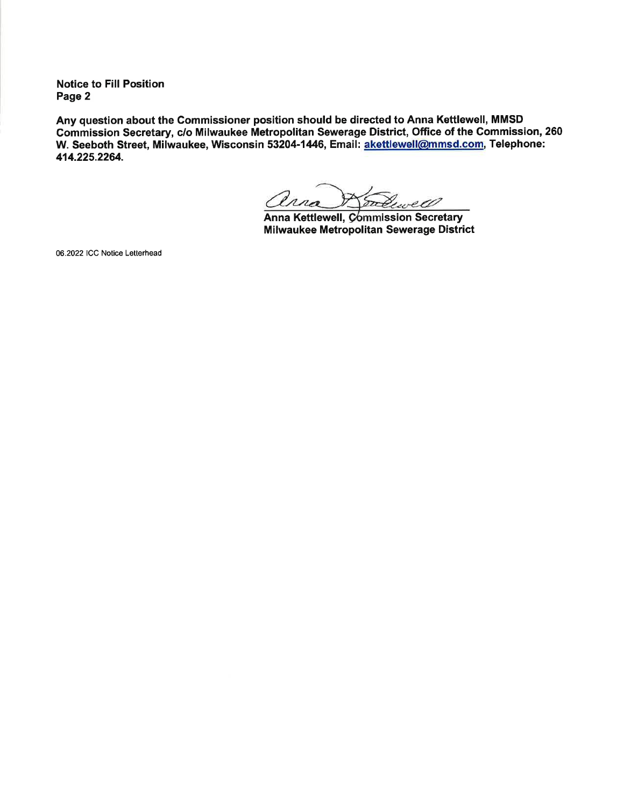Notice to Fill Position Page 2

Any question about the Gommissioner position should be directed to Anna Kettlewell, MMSD Commission Secretary, c/o Milwaukee Metropolitan Sewerage District, Office of the Gommission,260 W. Seeboth Street, Milwaukee, Wisconsin 53204-1446, Email: akettlewell@mmsd.com, Telephone: 414.225.2264.

ana Sadewell

Anna Kettlewell, Commission Secretary Milwaukee Metropolitan Sewerage District

06.2022 ICC Notice Letterhead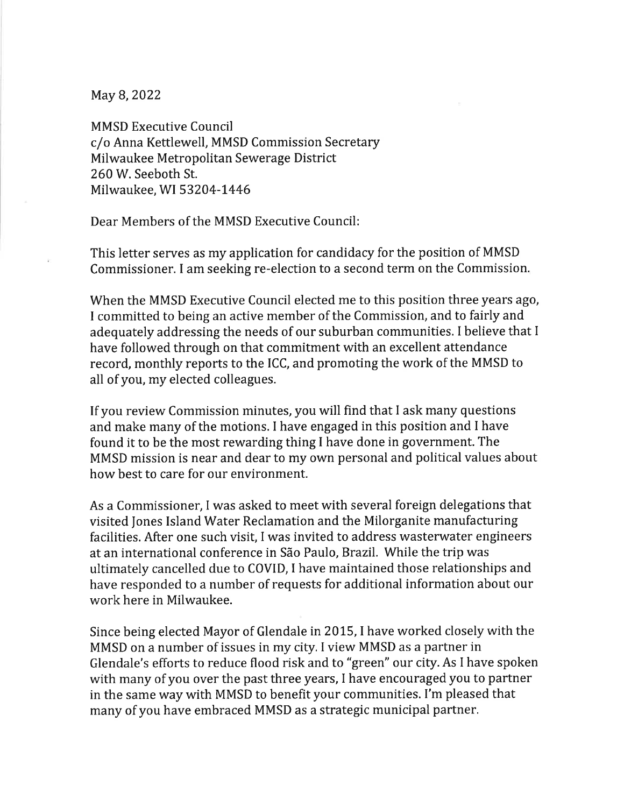May B, 2022

MMSD Executive Council c/o Anna Kettlewell, MMSD Commission Secretary Milwaukee Metropolitan Sewerage District 260W. Seeboth St. Milwaukee, WI 53204-1446

Dear Members of the MMSD Executive Council:

This letter serves as my application for candidacy for the position of MMSD Commissioner. I am seeking re-election to a second term on the Commission.

When the MMSD Executive Council elected me to this position three years ago, I committed to being an active member of the Commission, and to fairly and adequately addressing the needs of our suburban communities. I believe that I have followed through on that commitment with an excellent attendance record, monthly reports to the ICC, and promoting the work of the MMSD to all of you, my elected colleagues.

If you review Commission minutes, you will find that I ask many questions and make many of the motions. I have engaged in this position and I have found it to be the most rewarding thing I have done in government. The MMSD mission is near and dear to my own personal and political values about how best to care for our environment.

As a Commissioner, I was asked to meet with several foreign delegations that visited Jones Island Water Reclamation and the Milorganite manufacturing facilities. After one such visit, I was invited to address wasterwater engineers at an international conference in São Paulo, Brazil. While the trip was ultimately cancelled due to COVID, I have maintained those relationships and have responded to a number of requests for additional information about our work here in Milwaukee.

Since being elected Mayor of Glendale in 2015, I have worked closely with the MMSD on a number of issues in my city. I view MMSD as a partner in Glendale's efforts to reduce flood risk and to "green" our city. As I have spoken with many of you over the past three years, I have encouraged you to partner in the same way with MMSD to benefit your communities. I'm pleased that many of you have embraced MMSD as a strategic municipal partner.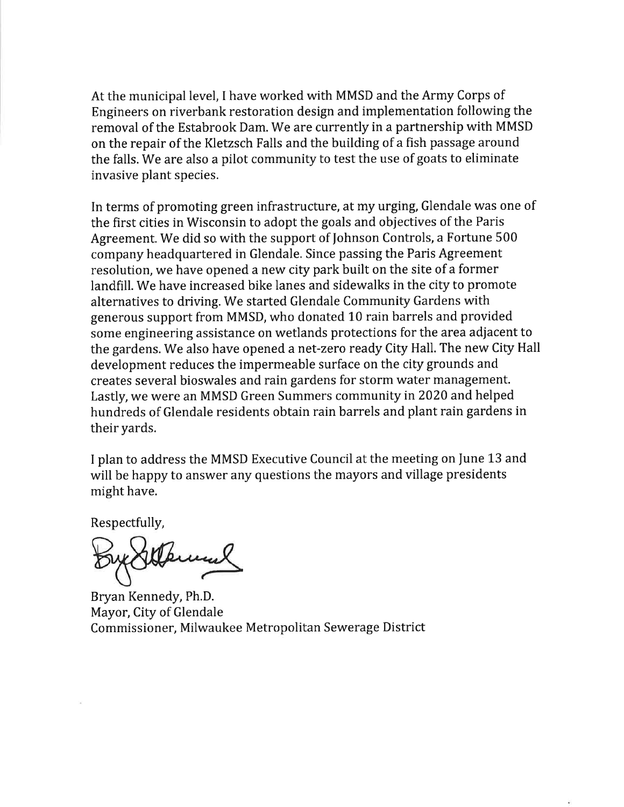At the municipal level, I have worked with MMSD and the Army Corps of Engineers on riverbank restoration design and implementation following the removal of the Estabrook Dam. We are currently in a partnership with MMSD on the repair of the Kletzsch Falls and the building of a fish passage around the falls. We are also a pilot community to test the use of goats to eliminate invasive plant species.

In terms of promoting green infrastructure, at my urging, Glendale was one of the first cities in Wisconsin to adopt the goals and objectives of the Paris Agreement, We did so with the support of fohnson Controls, a Fortune 500 company headquartered in Glendale. Since passing the Paris Agreement resolution, we have opened a new city park built on the site of a former landfill. We have increased bike lanes and sidewalks in the city to promote alternatives to driving. We started Glendale Community Gardens with generous support from MMSD, who donated 10 rain barrels and provided some engineering assistance on wetlands protections for the area adjacent to the gardens. We also have opened a net-zero ready City Hall. The new City Hall development reduces the impermeable surface on the city grounds and creates several bioswales and rain gardens for storm water management. Lastly, we were an MMSD Green Summers community in2020 and helped hundreds of Glendale residents obtain rain barrels and plant rain gardens in their yards.

I plan to address the MMSD Executive Council at the meeting on June 13 and will be happy to answer any questions the mayors and village presidents might have.

Respectfully,

Bryan Kennedy, Ph.D. Mayor, City of Glendale Commissioner, Milwaukee Metropolitan Sewerage District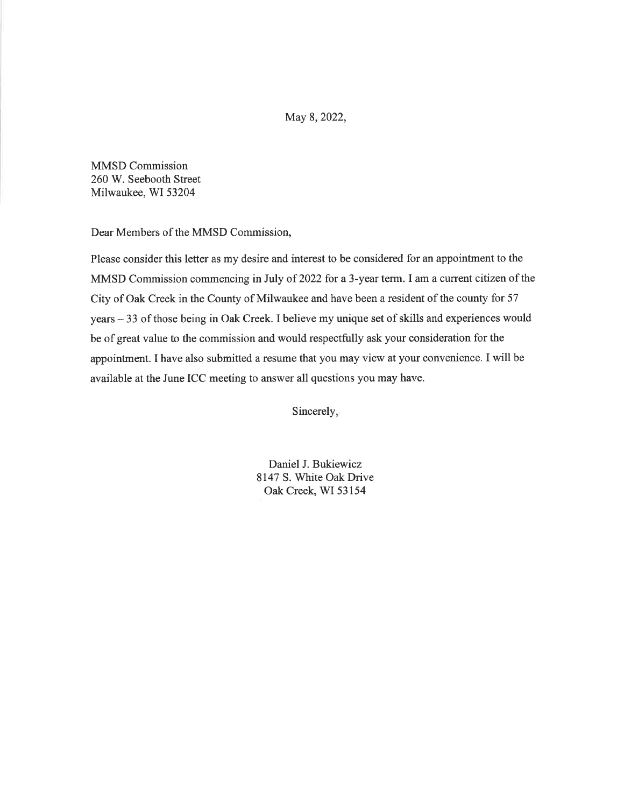May 8, 2022,

MMSD Commission 260 W. Seebooth Street Milwaukee, WI 53204

Dear Members of the MMSD Commission,

Please consider this letter as my desire and interest to be considered for an appointment to the MMSD Commission commencing in July of 2022 for a 3-year term. I am a current citizen of the City of Oak Creek in the County of Milwaukee and have been a resident of the county for 57 years - 33 of those being in Oak Creek. I believe my unique set of skills and experiences would be of great value to the commission and would respectfully ask your consideration for the appointment. I have also submitted a resume that you may view at your convenience. I will be available at the June ICC meeting to answer all questions you may have.

Sincerely,

Daniel J. Bukiewicz 8147 S. White Oak Drive Oak Creek, WI 53154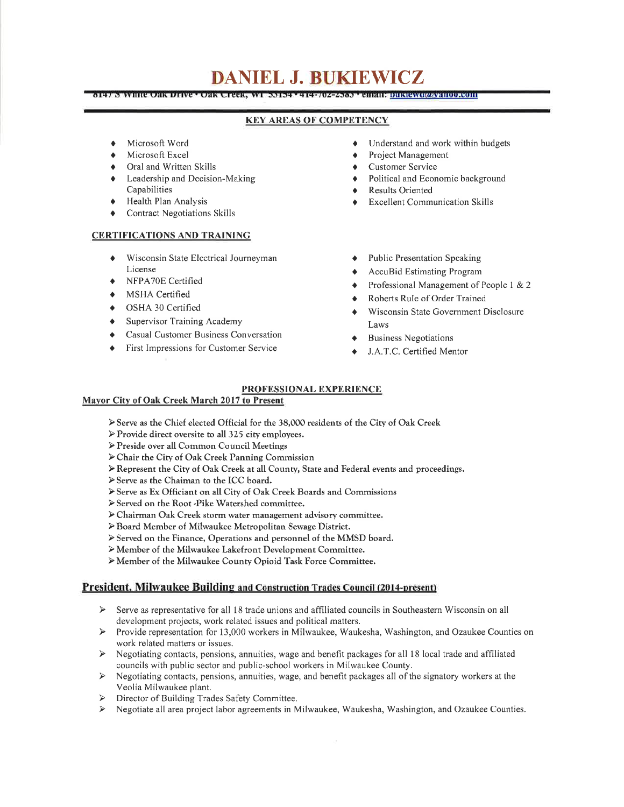# DANIEL J. BUKIEWICZ

OZZADE LEHRIKOITEKTEKO KONTROLLERIN **CYAN BATHIGRAPH COLORADO A CHE CHE CONTRAT** 

### KEY AREAS OF COMPETENCY

- Microsoft Word
- Microsoft Excel
- Oral and Written Skills
- $\bullet$  Leadership and Decision-Making Capabilities
- + Health Plan Analysis
- **Contract Negotiations Skills**

#### CERTIFICATIONS AND TRAINING

- Wisconsin State Electrical Journeyman License
- ◆ NFPA70E Certified
- $\bullet$  MSHA Certified
- . OSHA 30 Certified
- $\bullet$  Supervisor Training Academy
- **•** Casual Customer Business Conversation
- $\blacklozenge$  First Impressions for Customer Service
- Understand and work within budgets
- Project Management
- Customer Service
- Political and Economic background
- Results Oriented
- Excellent Communication Skills
- Public Presentation Speaking
- AccuBid Estimating Program
- Professional Management of People 1 & 2
- Roberts Rule of Order Trained
- Wisconsin State Government Disclosure Laws
- **Business Negotiations**
- J.A.T.C. Certified Mentor

#### PROFESSIONAL EXPERIENCE

#### Mayor Citv of Oak Creek March 2017 to Present

- Þ Serve as the Chief elected Official for the 38,000 residents of the City of Oak Creek
- $\triangleright$  Provide direct oversite to all 325 city employees.
- ÞPreside over all Common Council Meetings
- Þ Chair the City of Oak Creek Panning Commission
- Þ Represent the City of Oak Creek at all County, State and Federal events and proceedings.
- Þ Serve as the Chaiman to the ICC board.
- Þ Serve as Ex Officiant on all City of Oak Creek Boards and Commissions
- Þ Served on the Root -Pike Watershed committee.
- Þ Chairman Oak Creek storm water management advisory committee.
- ÞBoard Member of Milwaukee Metropolitan Sewage District.
- Þ Served on the Finance, Operations and personnel of the MMSD board.
- Þ Member of the Milwaukee Lake{ront Development Committee.
- Þ Member of the Milwaukee County Opioid Task Force Committee.

#### President. Milwaukee Building and Construction Trades Council (20l4-present)

- > Serve as representative for all 18 trade unions and affiliated councils in Southeastern Wisconsin on all development projects, work related issues and political matters.
- $\blacktriangleright$ Provide representation for 13,000 workers in Milwaukee, Waukesha, Washington, and Ozaukee Counties on work related matters or issues.
- $\blacktriangleright$ Negotiating contacts, pensions, annuities, wage and benefit packages for all 18 local trade and affiliated councils with public sector and public-school workers in Milwaukee County.
- $\triangleright$  Negotiating contacts, pensions, annuities, wage, and benefit packages all of the signatory workers at the Veolia Milwaukee plant.
- > Director of Building Trades Safety Committee.
- Negotiate all area project labor agreements in Milwaukee, Waukesha, Washington, and Ozaukee Counties.  $\blacktriangleright$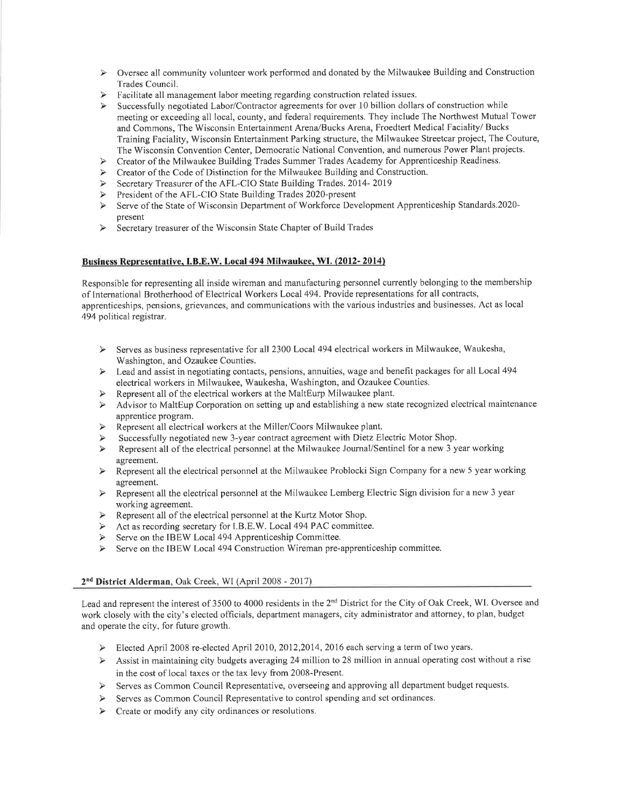- $\triangleright$  Oversee all community volunteer work performed and donated by the Milwaukee Building and Construction
- Trades Council.<br> $\triangleright$  Facilitate all management labor meeting regarding construction related issues.
- > Successfully negotiated Labor/Contractor agreements for over 10 billion dollars of construction while meeting or exceeding all local, county, and federal requirements. They include The Northwest Mutual Tower and Commons, The Wisconsin Entertainment Arena/Bucks Arena, Froedtert Medical Faciality/ Bucks Training Faciality, Wisconsin Entertainment Parking structure, the Milwaukee Streetcar project, The Couture, The Wisconsin Convention Center, Democratic National Convention, and numerous Power Plant projects.
- $\blacktriangleright$ Creator of the Milwaukee Building Trades Summer Trades Academy for Apprenticeship Readiness.
- Creator of the Code of Distinction for the Milwaukee Building and Construction.
- $\blacktriangleright$ Secretary Treasurer of the AFL-CIO State Building Trades. 2014-2019
- $\blacktriangleright$ President of the AFL-CIO State Building Trades 2020-present
- Serve of the State of Wisconsin Department of Workforce Development Apprenticeship Standards.2020- $\blacktriangleright$ present
- $\triangleright$  Secretary treasurer of the Wisconsin State Chapter of Build Trades

#### Business Representative. I.B.E.W. Local 494 Milwaukee. WI. (2012- 2014)

Responsible for representing all inside wireman and manufacturing personnel currently belonging to the membership of International Brotherhood of Electrical Workers Local 494. Provide representations for all contracts, apprenticeships, pensions, grievances, and communications with the various industries and businesses. Act as local 494 political registrar.

- Serves as business representative for all 2300 Local 494 electrical workers in Milwaukee, Waukesha, Washington, and Ozaukee Counties.
- Lead and assist in negotiating contacts, pensions, annuities, wage and benefit packages for all Local 494 electrical workers in Milwaukee, Waukesha, Washington, and Ozaukee Counties.
- 
- Advisor to MaltEup Corporation on setting up and establishing a new state recognized electrical maintenance  $\blacktriangleright$ apprentice program.
- Represent all electrical workers at the Miller/Coors Milwaukee plant.  $\blacktriangleright$
- Successfully negotiated new 3-year contract agreement with Dietz Electric Motor Shop.
- Represent all of the electrical personnel at the Milwaukee Journal/Sentinel for a new 3 year working  $\blacktriangleright$
- agreement.<br>Represent all the electrical personnel at the Milwaukee Problocki Sign Company for a new 5 year working  $\blacktriangleright$ agreement.<br>Represent all the electrical personnel at the Milwaukee Lemberg Electric Sign division for a new 3 year
- $\blacktriangleright$
- working agreement.<br>Represent all of the electrical personnel at the Kurtz Motor Shop.  $\blacktriangleright$
- Act as recording secretary for I.B.E.W. Local 494 PAC committee.  $\blacktriangleright$
- Serve on the IBEW Local 494 Apprenticeship Committee.  $\blacktriangleright$
- Serve on the IBEW Local 494 Construction Wireman pre-apprenticeship committee.  $\blacktriangleright$

#### 2<sup>nd</sup> District Alderman, Oak Creek, WI (April 2008 - 2017)

Lead and represent the interest of 3500 to 4000 residents in the 2<sup>nd</sup> District for the City of Oak Creek, WI. Oversee and work closely with the city's elected officials, department managers, city administrator and attorney, to plan, budget and operate the city, for future growth.

- Elected April 2008 re-elected April 2010, 2012, 2014, 2016 each serving a term of two years.
- $\triangleright$  Assist in maintaining city budgets averaging 24 million to 28 million in annual operating cost without a rise in the cost of local taxes or the tax levy from 2008-Present.
- $\triangleright$  Serves as Common Council Representative, overseeing and approving all department budget requests.
- > Serves as Common Council Representative to control spending and set ordinances.
- $\triangleright$  Create or modify any city ordinances or resolutions.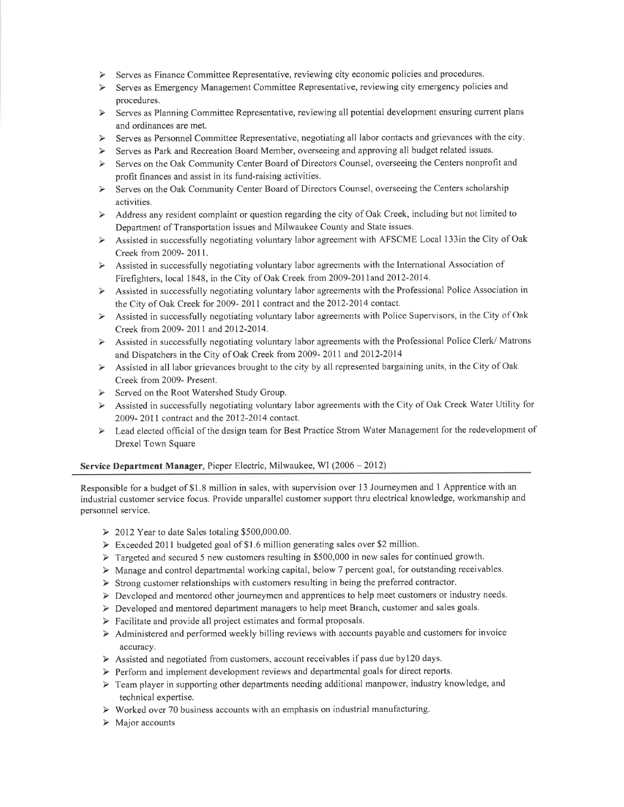- Serves as Finance Committee Representative, reviewing city economic policies and procedures.
- Serves as Emergency Management Committee Representative, reviewing city emergency policies and  $\blacktriangleright$ procedures.
- Serves as Planning Committee Representative, reviewing all potential development ensuring current plans  $\blacktriangleright$ and ordinances are met.
- Serves as Personnel Committee Representative, negotiating all labor contacts and grievances with the city.  $\blacktriangleright$
- Serves as Park and Recreation Board Member, overseeing and approving all budget related issues.
- Serves on the Oak Community Center Board of Directors Counsel, overseeing the Centers nonprofit and  $\rightarrow$ profit finances and assist in its fund-raising activities.
- Serves on the Oak Community Center Board of Directors Counsel, overseeing the Centers scholarship  $\rightarrow$ activities.
- Address any resident complaint or question regarding the city of Oak Creek, including but not limited to  $\blacktriangleright$ Department of Transportation issues and Milwaukee County and State issues.
- Assisted in successfully negotiating voluntary labor agreement with AFSCME Local 133in the City of Oak Creek from 2009- 2011.
- Assisted in successfully negotiating voluntary labor agreements with the International Association of Firefighters, local 1848, in the City of Oak Creek from 2009-2011 and 2012-2014.
- Assisted in successfully negotiating voluntary labor agreements with the Professional Police Association in  $\blacktriangleright$
- the City of Oak Creek for 2009- 2011 contract and the 2012-2014 contact.<br>Assisted in successfully negotiating voluntary labor agreements with Police Supervisors, in the City of Oak  $\blacktriangleright$ Creek from 2009- 2011 and 2012-2014.
- Assisted in successfully negotiating voluntary labor agreements with the Professional Police Clerk/Matrons  $\blacktriangleleft$ and Dispatchers in the City of Oak Creek from 2009- 2011 and 2012-2014
- Assisted in all labor grievances brought to the city by all represented bargaining units, in the City of Oak  $\blacktriangleright$ Creek from 2009- Present.
- Served on the Root Watershed Study Group.
- > Assisted in successfully negotiating voluntary labor agreements with the City of Oak Creek Water Utility for 2009- 2011 contract and the 2012-2014 contact.
- Lead elected official of the design team for Best Practice Strom Water Management for the redevelopment of  $\blacktriangleright$ Drexel Town Square

#### Service Department Manager, Pieper Electric, Milwaukee, WI (2006 - 2012)

Responsible for a budget of \$1.8 million in sales, with supervision over 13 Joumeymen and I Apprentice with an industrial customer service focus. Provide unparallel customer support thru electrical knowledge, workmanship and personnel service.

- > 2012 Year to date Sales totaling \$500,000.00.
- Þ Exceeded 2011 budgeted goal of \$1.6 million generating sales over \$2 million.
- $\triangleright$  Targeted and secured 5 new customers resulting in \$500,000 in new sales for continued growth.
- $\triangleright$  Manage and control departmental working capital, below 7 percent goal, for outstanding receivables.
- Þ Strong customer relationships with customers resulting in being the preferred contractor.
- $\triangleright$  Developed and mentored other journeymen and apprentices to help meet customers or industry needs.
- Þ Developed and mentored department managers to help meet Branch, customer and sales goals.
- Þ Facilitate and provide all project estimates and formal proposals.
- Þ Administered and performed weekly billing reviews with accounts payable and customers for invoice accuracy.
- $\triangleright$  Assisted and negotiated from customers, account receivables if pass due by 120 days.
- Þ Perform and implement development reviews and departmental goals for direct reports.
- $\triangleright$  Team player in supporting other departments needing additional manpower, industry knowledge, and technical expertise.
- $\triangleright$  Worked over 70 business accounts with an emphasis on industrial manufacturing.
- Þ Major accounts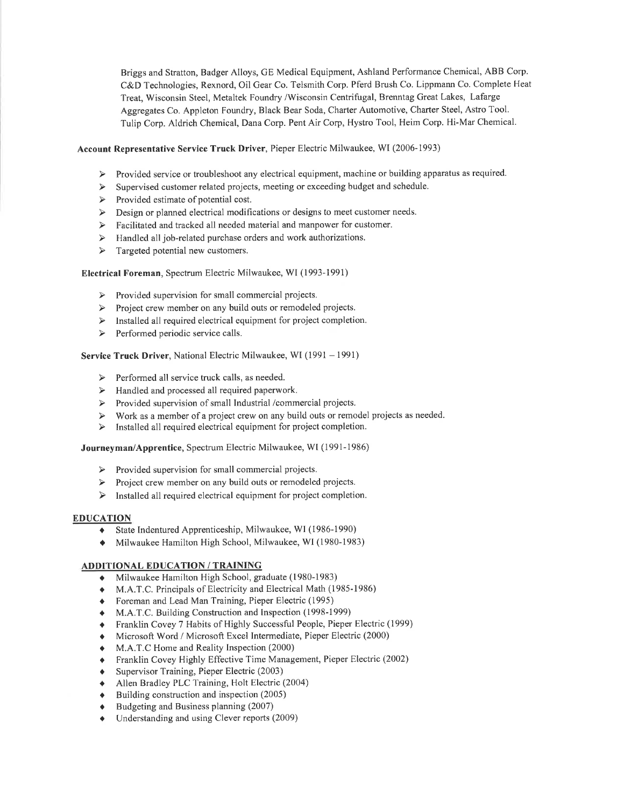Briggs and Stratton, Badger Alloys, GE Medical Equipment, Ashland Performance Chemical, ABB Corp. C&D Technologies, Rexnord, Oil Gear Co. Telsmith Corp. Pferd Brush Co. Lippmann Co. Complete Heat Treat, Wisconsin Steel, Metaltek Foundry /Wisconsin Centrifugal, Brenntag Great Lakes, Lafarge Aggregates Co. Appleton Foundry, Black Bear Soda, Charter Automotive, Charter Steel, Astro Tool. Tulip Corp. Aldrich Chemical, Dana Corp. Pent Air Corp, Hystro Tool, Heim Corp. Hi-Mar Chemical.

#### Account Representative Service Truck Driver, Pieper Electric Milwaukee, WI (2006-1993)

- > Provided service or troubleshoot any electrical equipment, machine or building apparatus as required.
- $\blacktriangleright$ Supervised customer related projects, meeting or exceeding budget and schedule.
- $\triangleright$  Provided estimate of potential cost.
- $\triangleright$  Design or planned electrical modifications or designs to meet customer needs.
- $\triangleright$  Facilitated and tracked all needed material and manpower for customer.
- $\triangleright$  Handled all job-related purchase orders and work authorizations.
- $\triangleright$  Targeted potential new customers.

## Electrical Foreman, Spectrum Electric Milwaukee, WI (1993-1991)

- $\triangleright$  Provided supervision for small commercial projects.
- > Project crew member on any build outs or remodeled projects.
- > Installed all required electrical equipment for project completion.
- Performed periodic service calls.  $\triangleright$

#### Service Truck Driver, National Electric Milwaukee, WI (1991 - 1991)

- $\triangleright$  Performed all service truck calls, as needed.
- $\triangleright$  Handled and processed all required paperwork.
- $\blacktriangleright$ Provided supervision of small Industrial /commercial projects.
- Work as a member of a project crew on any build outs or remodel projects as needed.  $\blacktriangleright$
- Installed all required electrical equipment for project completion.  $\blacktriangleright$

#### Journeyman/Apprentice, Spectrum Electric Milwaukee, WI (1991-1986)

- $\triangleright$  Provided supervision for small commercial projects.
- > Project crew member on any build outs or remodeled projects.
- $\triangleright$  Installed all required electrical equipment for project completion.

#### EDUCATION

- I State Indentured Apprenticeship, Milwaukee, WI (1986-1990)
- $\blacklozenge$  Milwaukee Hamilton High School, Milwaukee, WI (1980-1983)

#### ADDITIONAL EDUCATION / TRAINING

- Milwaukee Hamilton High School, graduate (1980-1983)
- M.A.T.C. Principals of Electricity and Electrical Math (1985-1986)
- ô Foreman and Lead Man Training, Pieper Electric (1995)
- M.A.T.C. Building Construction and Inspection (1998-1999)
- o Franklin Covey 7 Habits of Highly Successful People, Pieper Electric (1999)
- $\bullet$  Microsoft Word / Microsoft Excel Intermediate, Pieper Electric (2000)
- $\bullet$  M.A.T.C Home and Reality Inspection (2000)
- o Franklin Covey Highly Effective Time Management, Pieper Electric (2002)
- $\bullet$  Supervisor Training, Pieper Electric (2003)
- Allen Bradley PLC Training, Holt Electric (2004)
- $\bullet$  Building construction and inspection (2005)
- Budgeting and Business planning (2007)
- Understanding and using Clever reports (2009)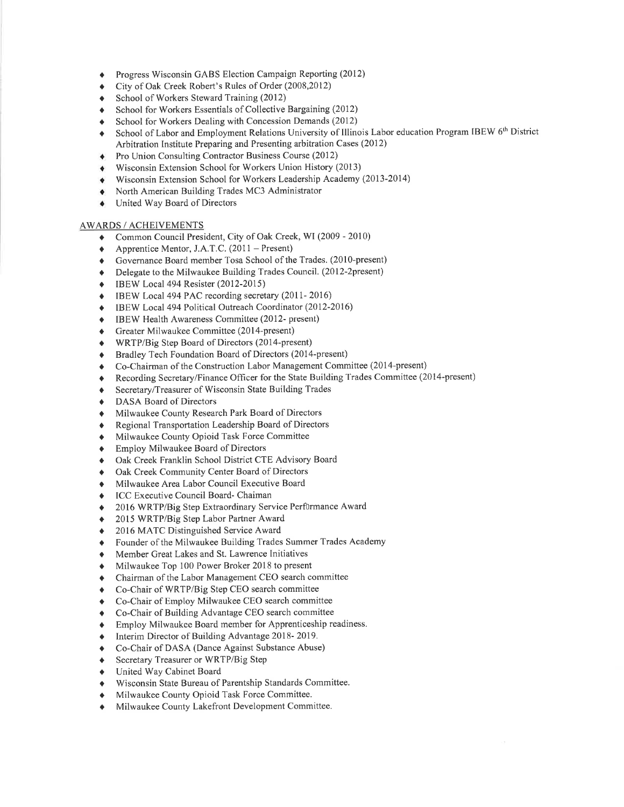- Progress Wisconsin GABS Election Campaign Reporting (2012) a
- City of Oak Creek Robert's Rules of Order (2008,2012) a
- School of Workers Steward Training (2012) a
- School for Workers Essentials of Collective Bargaining (2012) a
- School for Workers Dealing with Concession Demands (2012) a
- School of Labor and Employment Relations University of Illinois Labor education Program IBEW 6<sup>th</sup> District Arbitration Institute Preparing and Presenting arbitration Cases (2012) a
- Pro Union Consulting Contractor Business Course (2012)  $\bullet$
- Wisconsin Extension School for Workers Union History (2013) ۰
- Wisconsin Extension School for Workers Leadership Academy (2013-2014) ۰
- North American Building Trades MC3 Administrator
- United Way Board of Directors ۰

#### AWARDS / ACHEIVEMENTS

- ◆ Common Council President, City of Oak Creek, WI (2009 2010)
- ♦ Apprentice Mentor, J.A.T.C. (2011 Present)<br>♦ Governance Board member Tosa School of the
- r) Governance Board member Tosa School of the Trades. (201O-present)
- $\bullet$  Delegate to the Milwaukee Building Trades Council. (2012-2present)
- . IBEW Local 494 Resister (2012-2015)
- ◆ IBEW Local 494 PAC recording secretary (2011- 2016)<br>◆ IBEW Local 494 Political Outreach Coordinator (2012-2
- IBEW Local 494 Political Outreach Coordinator (2012-2016)
- o IBEW Health Awareness Committee (2012- present)
- ◆ Greater Milwaukee Committee (2014-present)
- o WRTP/Big Step Board of Directors (2014-present)
- ◆ Bradley Tech Foundation Board of Directors (2014-present)
- o Co-Chairman of the Construction Labor Management Committee (2014-present)
- o Recording Secretary/Finance Officer for the State Building Trades Committee (20l4-present)
- ♦ Secretary/Treasurer of Wisconsin State Building Trades
- $\bullet$  DASA Board of Directors
- $\blacklozenge$  Milwaukee County Research Park Board of Directors
- **A** Regional Transportation Leadership Board of Directors
- $\bullet$  Milwaukee County Opioid Task Force Committee
- ◆ Employ Milwaukee Board of Directors
- $\bullet$  Oak Creek Franklin School District CTE Advisory Board
- $\triangleleft$  Oak Creek Community Center Board of Directors
- o Milwaukee Area Labor Council Executive Board
- ◆ ICC Executive Council Board- Chaiman
- a 2016 WRTP/Big Step Extraordinary Service Perf0rmance Award
- 2015 WRTP/Big Step Labor Partner Award
- 2016 MATC Distinguished Service Award
- i Founder of the Milwaukee Building Trades Summer Trades Academy
- o Member Great Lakes and St. Lawrence Initiatives
- $\bullet$  Milwaukee Top 100 Power Broker 2018 to present
- $\blacklozenge$  Chairman of the Labor Management CEO search committee
- ◆ Co-Chair of WRTP/Big Step CEO search committee
- $\bullet$  Co-Chair of Employ Milwaukee CEO search committee
- $\bullet$  Co-Chair of Building Advantage CEO search committee
- $\triangle$  Employ Milwaukee Board member for Apprenticeship readiness.
- $\bullet$  Interim Director of Building Advantage 2018-2019.
- o Co-Chair of DASA (Dance Against Substance Abuse)
- ◆ Secretary Treasurer or WRTP/Big Step
- $\bullet$  United Way Cabinet Board
- o Wisconsin State Bureau of Parentship Standards Committee.
- Milwaukee County Opioid Task Force Committee.
- Milwaukee County Lakefront Development Committee.